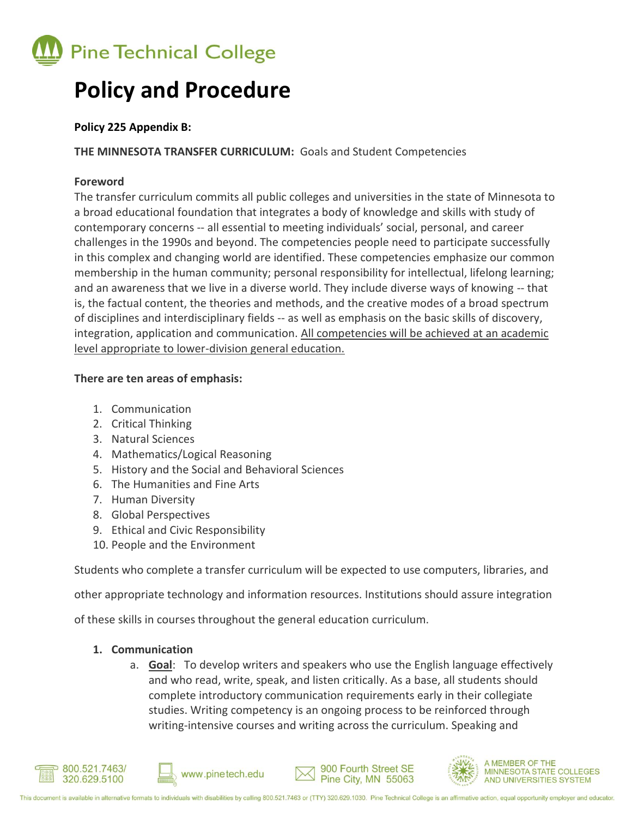

# **Policy and Procedure**

#### **Policy 225 Appendix B:**

**THE MINNESOTA TRANSFER CURRICULUM:** Goals and Student Competencies

# **Foreword**

The transfer curriculum commits all public colleges and universities in the state of Minnesota to a broad educational foundation that integrates a body of knowledge and skills with study of contemporary concerns -- all essential to meeting individuals' social, personal, and career challenges in the 1990s and beyond. The competencies people need to participate successfully in this complex and changing world are identified. These competencies emphasize our common membership in the human community; personal responsibility for intellectual, lifelong learning; and an awareness that we live in a diverse world. They include diverse ways of knowing -- that is, the factual content, the theories and methods, and the creative modes of a broad spectrum of disciplines and interdisciplinary fields -- as well as emphasis on the basic skills of discovery, integration, application and communication. All competencies will be achieved at an academic level appropriate to lower-division general education.

#### **There are ten areas of emphasis:**

- 1. Communication
- 2. Critical Thinking
- 3. Natural Sciences
- 4. Mathematics/Logical Reasoning
- 5. History and the Social and Behavioral Sciences
- 6. The Humanities and Fine Arts
- 7. Human Diversity
- 8. Global Perspectives
- 9. Ethical and Civic Responsibility
- 10. People and the Environment

Students who complete a transfer curriculum will be expected to use computers, libraries, and

other appropriate technology and information resources. Institutions should assure integration

of these skills in courses throughout the general education curriculum.

# **1. Communication**

a. **Goal**: To develop writers and speakers who use the English language effectively and who read, write, speak, and listen critically. As a base, all students should complete introductory communication requirements early in their collegiate studies. Writing competency is an ongoing process to be reinforced through writing-intensive courses and writing across the curriculum. Speaking and





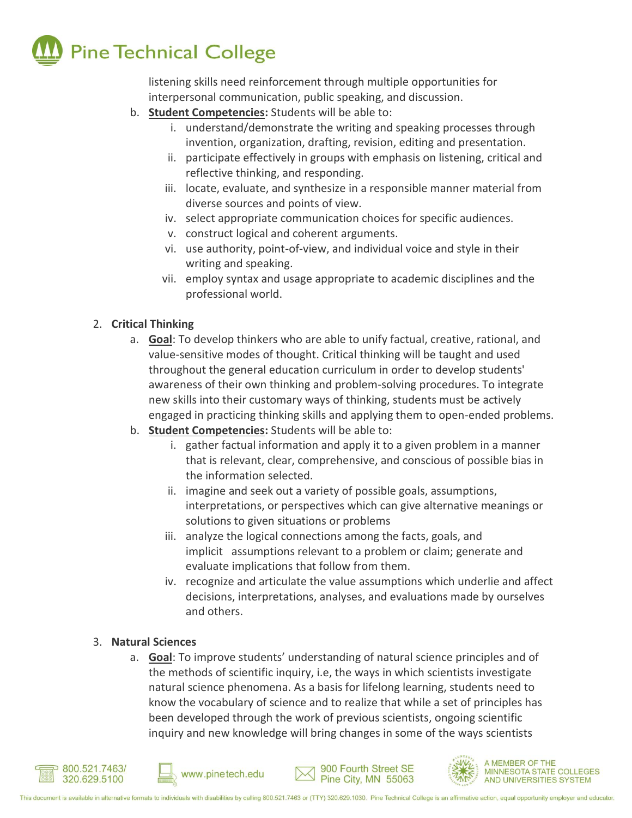

listening skills need reinforcement through multiple opportunities for interpersonal communication, public speaking, and discussion.

- b. **Student Competencies:** Students will be able to:
	- i. understand/demonstrate the writing and speaking processes through invention, organization, drafting, revision, editing and presentation.
	- ii. participate effectively in groups with emphasis on listening, critical and reflective thinking, and responding.
	- iii. locate, evaluate, and synthesize in a responsible manner material from diverse sources and points of view.
	- iv. select appropriate communication choices for specific audiences.
	- v. construct logical and coherent arguments.
	- vi. use authority, point-of-view, and individual voice and style in their writing and speaking.
	- vii. employ syntax and usage appropriate to academic disciplines and the professional world.

# 2. **Critical Thinking**

- a. **Goal**: To develop thinkers who are able to unify factual, creative, rational, and value-sensitive modes of thought. Critical thinking will be taught and used throughout the general education curriculum in order to develop students' awareness of their own thinking and problem-solving procedures. To integrate new skills into their customary ways of thinking, students must be actively engaged in practicing thinking skills and applying them to open-ended problems.
- b. **Student Competencies:** Students will be able to:
	- i. gather factual information and apply it to a given problem in a manner that is relevant, clear, comprehensive, and conscious of possible bias in the information selected.
	- ii. imagine and seek out a variety of possible goals, assumptions, interpretations, or perspectives which can give alternative meanings or solutions to given situations or problems
	- iii. analyze the logical connections among the facts, goals, and implicit assumptions relevant to a problem or claim; generate and evaluate implications that follow from them.
	- iv. recognize and articulate the value assumptions which underlie and affect decisions, interpretations, analyses, and evaluations made by ourselves and others.

#### 3. **Natural Sciences**

a. **Goal**: To improve students' understanding of natural science principles and of the methods of scientific inquiry, i.e, the ways in which scientists investigate natural science phenomena. As a basis for lifelong learning, students need to know the vocabulary of science and to realize that while a set of principles has been developed through the work of previous scientists, ongoing scientific inquiry and new knowledge will bring changes in some of the ways scientists









**MEMBER OF THE MINNESOTA STATE COLLEGES** AND UNIVERSITIES SYSTEM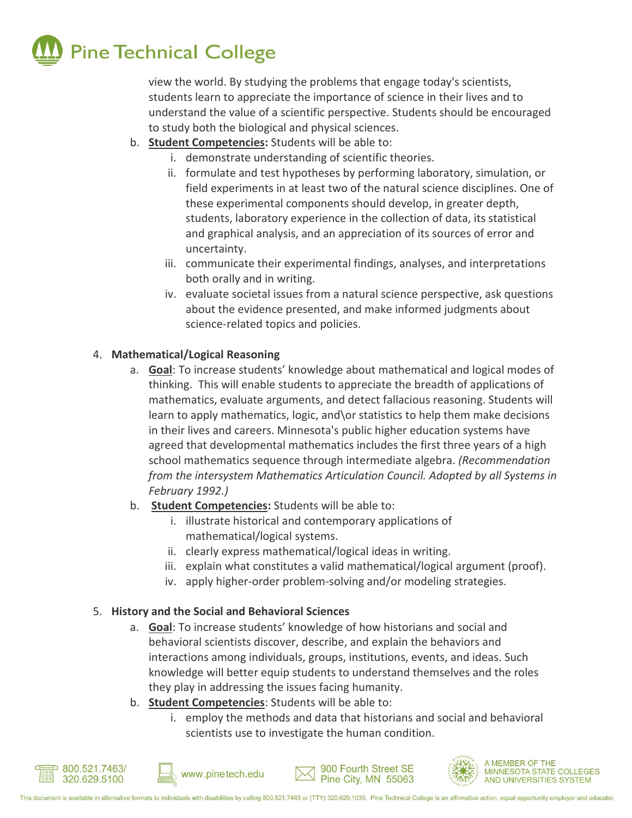

view the world. By studying the problems that engage today's scientists, students learn to appreciate the importance of science in their lives and to understand the value of a scientific perspective. Students should be encouraged to study both the biological and physical sciences.

- b. **Student Competencies:** Students will be able to:
	- i. demonstrate understanding of scientific theories.
	- ii. formulate and test hypotheses by performing laboratory, simulation, or field experiments in at least two of the natural science disciplines. One of these experimental components should develop, in greater depth, students, laboratory experience in the collection of data, its statistical and graphical analysis, and an appreciation of its sources of error and uncertainty.
	- iii. communicate their experimental findings, analyses, and interpretations both orally and in writing.
	- iv. evaluate societal issues from a natural science perspective, ask questions about the evidence presented, and make informed judgments about science-related topics and policies.

#### 4. **Mathematical/Logical Reasoning**

- a. **Goal**: To increase students' knowledge about mathematical and logical modes of thinking. This will enable students to appreciate the breadth of applications of mathematics, evaluate arguments, and detect fallacious reasoning. Students will learn to apply mathematics, logic, and\or statistics to help them make decisions in their lives and careers. Minnesota's public higher education systems have agreed that developmental mathematics includes the first three years of a high school mathematics sequence through intermediate algebra. *(Recommendation from the intersystem Mathematics Articulation Council. Adopted by all Systems in February 1992.)*
- b. **Student Competencies:** Students will be able to:
	- i. illustrate historical and contemporary applications of mathematical/logical systems.
	- ii. clearly express mathematical/logical ideas in writing.
	- iii. explain what constitutes a valid mathematical/logical argument (proof).
	- iv. apply higher-order problem-solving and/or modeling strategies.

#### 5. **History and the Social and Behavioral Sciences**

- a. **Goal**: To increase students' knowledge of how historians and social and behavioral scientists discover, describe, and explain the behaviors and interactions among individuals, groups, institutions, events, and ideas. Such knowledge will better equip students to understand themselves and the roles they play in addressing the issues facing humanity.
- b. **Student Competencies**: Students will be able to:
	- i. employ the methods and data that historians and social and behavioral scientists use to investigate the human condition.







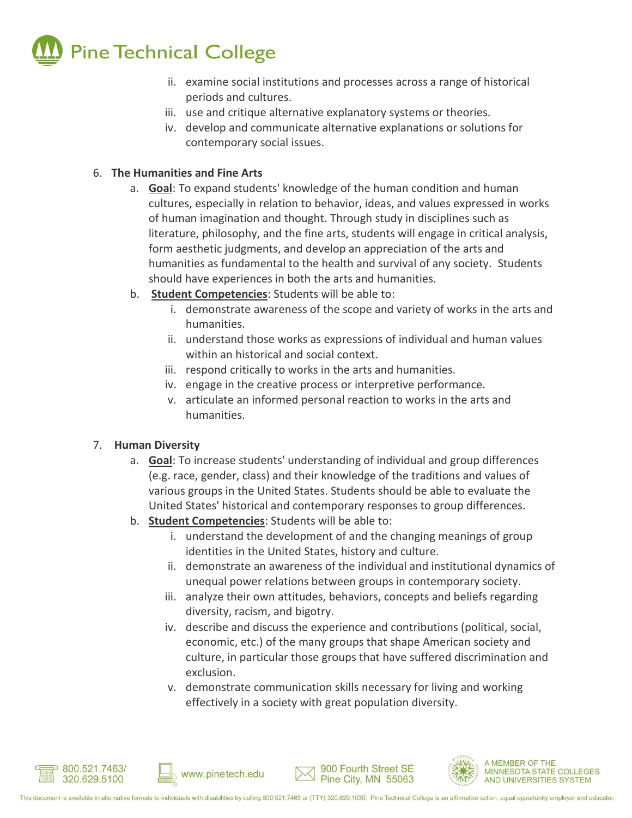

- ii. examine social institutions and processes across a range of historical periods and cultures.
- iii. use and critique alternative explanatory systems or theories.
- iv. develop and communicate alternative explanations or solutions for contemporary social issues.

# 6. **The Humanities and Fine Arts**

- a. **Goal**: To expand students' knowledge of the human condition and human cultures, especially in relation to behavior, ideas, and values expressed in works of human imagination and thought. Through study in disciplines such as literature, philosophy, and the fine arts, students will engage in critical analysis, form aesthetic judgments, and develop an appreciation of the arts and humanities as fundamental to the health and survival of any society. Students should have experiences in both the arts and humanities.
- b. **Student Competencies**: Students will be able to:
	- i. demonstrate awareness of the scope and variety of works in the arts and humanities.
	- ii. understand those works as expressions of individual and human values within an historical and social context.
	- iii. respond critically to works in the arts and humanities.
	- iv. engage in the creative process or interpretive performance.
	- v. articulate an informed personal reaction to works in the arts and humanities.

#### 7. **Human Diversity**

- a. **Goal**: To increase students' understanding of individual and group differences (e.g. race, gender, class) and their knowledge of the traditions and values of various groups in the United States. Students should be able to evaluate the United States' historical and contemporary responses to group differences.
- b. **Student Competencies**: Students will be able to:
	- i. understand the development of and the changing meanings of group identities in the United States, history and culture.
	- ii. demonstrate an awareness of the individual and institutional dynamics of unequal power relations between groups in contemporary society.
	- iii. analyze their own attitudes, behaviors, concepts and beliefs regarding diversity, racism, and bigotry.
	- iv. describe and discuss the experience and contributions (political, social, economic, etc.) of the many groups that shape American society and culture, in particular those groups that have suffered discrimination and exclusion.
	- v. demonstrate communication skills necessary for living and working effectively in a society with great population diversity.







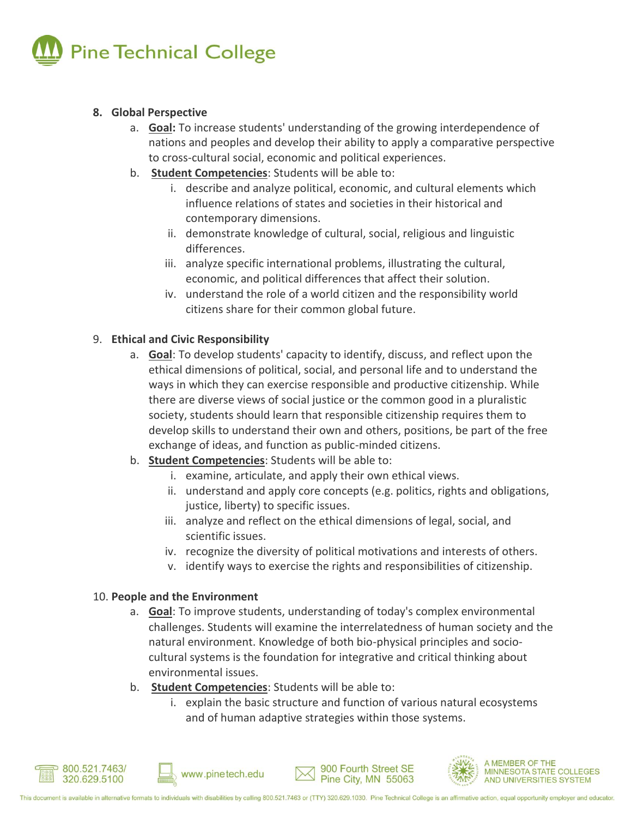

#### **8. Global Perspective**

- a. **Goal:** To increase students' understanding of the growing interdependence of nations and peoples and develop their ability to apply a comparative perspective to cross-cultural social, economic and political experiences.
- b. **Student Competencies**: Students will be able to:
	- i. describe and analyze political, economic, and cultural elements which influence relations of states and societies in their historical and contemporary dimensions.
	- ii. demonstrate knowledge of cultural, social, religious and linguistic differences.
	- iii. analyze specific international problems, illustrating the cultural, economic, and political differences that affect their solution.
	- iv. understand the role of a world citizen and the responsibility world citizens share for their common global future.

#### 9. **Ethical and Civic Responsibility**

- a. **Goal**: To develop students' capacity to identify, discuss, and reflect upon the ethical dimensions of political, social, and personal life and to understand the ways in which they can exercise responsible and productive citizenship. While there are diverse views of social justice or the common good in a pluralistic society, students should learn that responsible citizenship requires them to develop skills to understand their own and others, positions, be part of the free exchange of ideas, and function as public-minded citizens.
- b. **Student Competencies**: Students will be able to:
	- i. examine, articulate, and apply their own ethical views.
	- ii. understand and apply core concepts (e.g. politics, rights and obligations, justice, liberty) to specific issues.
	- iii. analyze and reflect on the ethical dimensions of legal, social, and scientific issues.
	- iv. recognize the diversity of political motivations and interests of others.
	- v. identify ways to exercise the rights and responsibilities of citizenship.

#### 10. **People and the Environment**

- a. **Goal**: To improve students, understanding of today's complex environmental challenges. Students will examine the interrelatedness of human society and the natural environment. Knowledge of both bio-physical principles and sociocultural systems is the foundation for integrative and critical thinking about environmental issues.
- b. **Student Competencies**: Students will be able to:
	- i. explain the basic structure and function of various natural ecosystems and of human adaptive strategies within those systems.